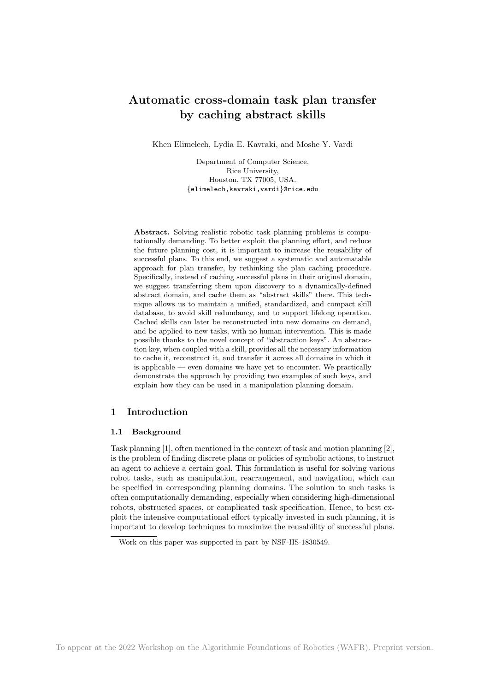# Automatic cross-domain task plan transfer by caching abstract skills

Khen Elimelech, Lydia E. Kavraki, and Moshe Y. Vardi

Department of Computer Science, Rice University, Houston, TX 77005, USA. {elimelech,kavraki,vardi}@rice.edu

Abstract. Solving realistic robotic task planning problems is computationally demanding. To better exploit the planning effort, and reduce the future planning cost, it is important to increase the reusability of successful plans. To this end, we suggest a systematic and automatable approach for plan transfer, by rethinking the plan caching procedure. Specifically, instead of caching successful plans in their original domain, we suggest transferring them upon discovery to a dynamically-defined abstract domain, and cache them as "abstract skills" there. This technique allows us to maintain a unified, standardized, and compact skill database, to avoid skill redundancy, and to support lifelong operation. Cached skills can later be reconstructed into new domains on demand, and be applied to new tasks, with no human intervention. This is made possible thanks to the novel concept of "abstraction keys". An abstraction key, when coupled with a skill, provides all the necessary information to cache it, reconstruct it, and transfer it across all domains in which it is applicable — even domains we have yet to encounter. We practically demonstrate the approach by providing two examples of such keys, and explain how they can be used in a manipulation planning domain.

## 1 Introduction

## 1.1 Background

Task planning [1], often mentioned in the context of task and motion planning [2], is the problem of finding discrete plans or policies of symbolic actions, to instruct an agent to achieve a certain goal. This formulation is useful for solving various robot tasks, such as manipulation, rearrangement, and navigation, which can be specified in corresponding planning domains. The solution to such tasks is often computationally demanding, especially when considering high-dimensional robots, obstructed spaces, or complicated task specification. Hence, to best exploit the intensive computational effort typically invested in such planning, it is important to develop techniques to maximize the reusability of successful plans.

Work on this paper was supported in part by NSF-IIS-1830549.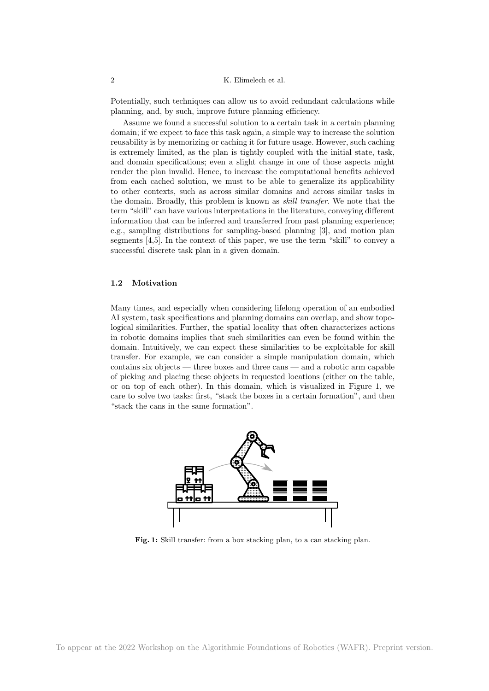Potentially, such techniques can allow us to avoid redundant calculations while planning, and, by such, improve future planning efficiency.

Assume we found a successful solution to a certain task in a certain planning domain; if we expect to face this task again, a simple way to increase the solution reusability is by memorizing or caching it for future usage. However, such caching is extremely limited, as the plan is tightly coupled with the initial state, task, and domain specifications; even a slight change in one of those aspects might render the plan invalid. Hence, to increase the computational benefits achieved from each cached solution, we must to be able to generalize its applicability to other contexts, such as across similar domains and across similar tasks in the domain. Broadly, this problem is known as skill transfer. We note that the term "skill" can have various interpretations in the literature, conveying different information that can be inferred and transferred from past planning experience; e.g., sampling distributions for sampling-based planning [3], and motion plan segments [4,5]. In the context of this paper, we use the term "skill" to convey a successful discrete task plan in a given domain.

## 1.2 Motivation

Many times, and especially when considering lifelong operation of an embodied AI system, task specifications and planning domains can overlap, and show topological similarities. Further, the spatial locality that often characterizes actions in robotic domains implies that such similarities can even be found within the domain. Intuitively, we can expect these similarities to be exploitable for skill transfer. For example, we can consider a simple manipulation domain, which contains six objects — three boxes and three cans — and a robotic arm capable of picking and placing these objects in requested locations (either on the table, or on top of each other). In this domain, which is visualized in Figure 1, we care to solve two tasks: first, "stack the boxes in a certain formation", and then "stack the cans in the same formation".



Fig. 1: Skill transfer: from a box stacking plan, to a can stacking plan.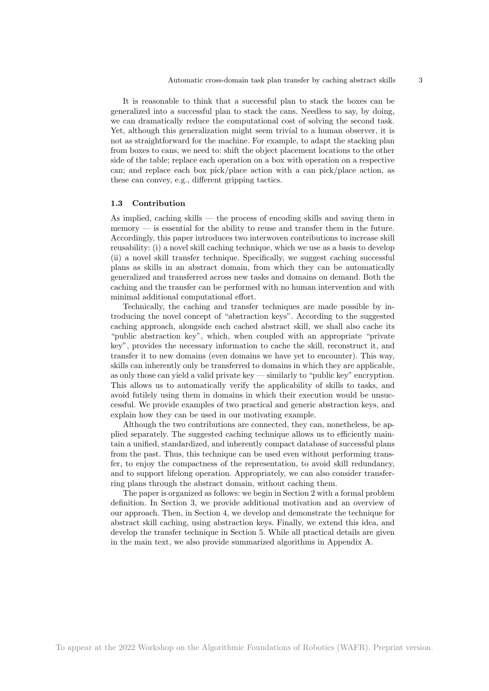It is reasonable to think that a successful plan to stack the boxes can be generalized into a successful plan to stack the cans. Needless to say, by doing, we can dramatically reduce the computational cost of solving the second task. Yet, although this generalization might seem trivial to a human observer, it is not as straightforward for the machine. For example, to adapt the stacking plan from boxes to cans, we need to: shift the object placement locations to the other side of the table; replace each operation on a box with operation on a respective can; and replace each box pick/place action with a can pick/place action, as these can convey, e.g., different gripping tactics.

### 1.3 Contribution

As implied, caching skills — the process of encoding skills and saving them in  $m_{\text{en}} = \text{in}$  is essential for the ability to reuse and transfer them in the future. Accordingly, this paper introduces two interwoven contributions to increase skill reusability: (i) a novel skill caching technique, which we use as a basis to develop (ii) a novel skill transfer technique. Specifically, we suggest caching successful plans as skills in an abstract domain, from which they can be automatically generalized and transferred across new tasks and domains on demand. Both the caching and the transfer can be performed with no human intervention and with minimal additional computational effort.

Technically, the caching and transfer techniques are made possible by introducing the novel concept of "abstraction keys". According to the suggested caching approach, alongside each cached abstract skill, we shall also cache its "public abstraction key", which, when coupled with an appropriate "private key", provides the necessary information to cache the skill, reconstruct it, and transfer it to new domains (even domains we have yet to encounter). This way, skills can inherently only be transferred to domains in which they are applicable, as only those can yield a valid private key — similarly to "public key" encryption. This allows us to automatically verify the applicability of skills to tasks, and avoid futilely using them in domains in which their execution would be unsuccessful. We provide examples of two practical and generic abstraction keys, and explain how they can be used in our motivating example.

Although the two contributions are connected, they can, nonetheless, be applied separately. The suggested caching technique allows us to efficiently maintain a unified, standardized, and inherently compact database of successful plans from the past. Thus, this technique can be used even without performing transfer, to enjoy the compactness of the representation, to avoid skill redundancy, and to support lifelong operation. Appropriately, we can also consider transferring plans through the abstract domain, without caching them.

The paper is organized as follows: we begin in Section 2 with a formal problem definition. In Section 3, we provide additional motivation and an overview of our approach. Then, in Section 4, we develop and demonstrate the technique for abstract skill caching, using abstraction keys. Finally, we extend this idea, and develop the transfer technique in Section 5. While all practical details are given in the main text, we also provide summarized algorithms in Appendix A.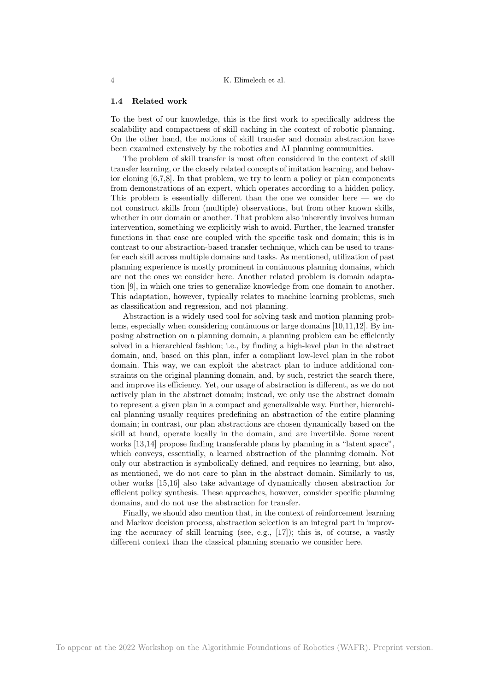#### 1.4 Related work

To the best of our knowledge, this is the first work to specifically address the scalability and compactness of skill caching in the context of robotic planning. On the other hand, the notions of skill transfer and domain abstraction have been examined extensively by the robotics and AI planning communities.

The problem of skill transfer is most often considered in the context of skill transfer learning, or the closely related concepts of imitation learning, and behavior cloning [6,7,8]. In that problem, we try to learn a policy or plan components from demonstrations of an expert, which operates according to a hidden policy. This problem is essentially different than the one we consider here — we do not construct skills from (multiple) observations, but from other known skills, whether in our domain or another. That problem also inherently involves human intervention, something we explicitly wish to avoid. Further, the learned transfer functions in that case are coupled with the specific task and domain; this is in contrast to our abstraction-based transfer technique, which can be used to transfer each skill across multiple domains and tasks. As mentioned, utilization of past planning experience is mostly prominent in continuous planning domains, which are not the ones we consider here. Another related problem is domain adaptation [9], in which one tries to generalize knowledge from one domain to another. This adaptation, however, typically relates to machine learning problems, such as classification and regression, and not planning.

Abstraction is a widely used tool for solving task and motion planning problems, especially when considering continuous or large domains [10,11,12]. By imposing abstraction on a planning domain, a planning problem can be efficiently solved in a hierarchical fashion; i.e., by finding a high-level plan in the abstract domain, and, based on this plan, infer a compliant low-level plan in the robot domain. This way, we can exploit the abstract plan to induce additional constraints on the original planning domain, and, by such, restrict the search there, and improve its efficiency. Yet, our usage of abstraction is different, as we do not actively plan in the abstract domain; instead, we only use the abstract domain to represent a given plan in a compact and generalizable way. Further, hierarchical planning usually requires predefining an abstraction of the entire planning domain; in contrast, our plan abstractions are chosen dynamically based on the skill at hand, operate locally in the domain, and are invertible. Some recent works [13,14] propose finding transferable plans by planning in a "latent space", which conveys, essentially, a learned abstraction of the planning domain. Not only our abstraction is symbolically defined, and requires no learning, but also, as mentioned, we do not care to plan in the abstract domain. Similarly to us, other works [15,16] also take advantage of dynamically chosen abstraction for efficient policy synthesis. These approaches, however, consider specific planning domains, and do not use the abstraction for transfer.

Finally, we should also mention that, in the context of reinforcement learning and Markov decision process, abstraction selection is an integral part in improving the accuracy of skill learning (see, e.g., [17]); this is, of course, a vastly different context than the classical planning scenario we consider here.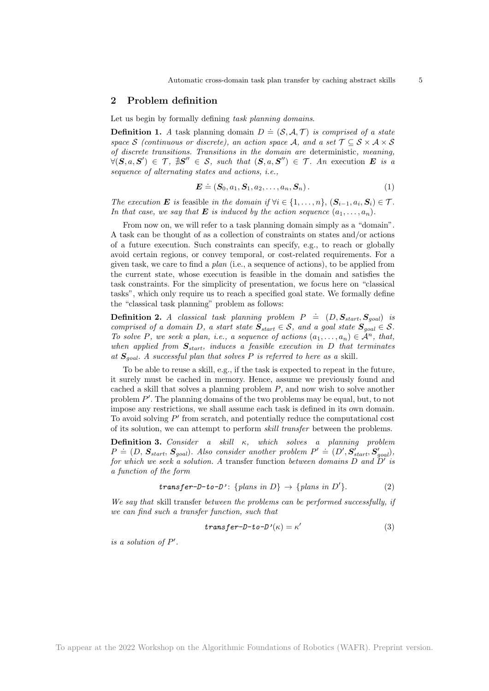## 2 Problem definition

Let us begin by formally defining task planning domains.

**Definition 1.** A task planning domain  $D \doteq (\mathcal{S}, \mathcal{A}, \mathcal{T})$  is comprised of a state space S (continuous or discrete), an action space A, and a set  $\mathcal{T} \subseteq \mathcal{S} \times \mathcal{A} \times \mathcal{S}$ of discrete transitions. Transitions in the domain are deterministic, meaning,  $\forall (\mathbf{S}, a, \mathbf{S}') \in \mathcal{T}, \exists \mathbf{S}'' \in \mathcal{S}, \text{ such that } (\mathbf{S}, a, \mathbf{S}'') \in \mathcal{T}.$  An execution  $\mathbf{E}$  is a sequence of alternating states and actions, i.e.,

$$
\boldsymbol{E} \doteq (\boldsymbol{S}_0, a_1, \boldsymbol{S}_1, a_2, \dots, a_n, \boldsymbol{S}_n). \tag{1}
$$

The execution **E** is feasible in the domain if  $\forall i \in \{1, ..., n\}$ ,  $(\mathbf{S}_{i-1}, a_i, \mathbf{S}_i) \in \mathcal{T}$ . In that case, we say that **E** is induced by the action sequence  $(a_1, \ldots, a_n)$ .

From now on, we will refer to a task planning domain simply as a "domain". A task can be thought of as a collection of constraints on states and/or actions of a future execution. Such constraints can specify, e.g., to reach or globally avoid certain regions, or convey temporal, or cost-related requirements. For a given task, we care to find a plan (i.e., a sequence of actions), to be applied from the current state, whose execution is feasible in the domain and satisfies the task constraints. For the simplicity of presentation, we focus here on "classical tasks", which only require us to reach a specified goal state. We formally define the "classical task planning" problem as follows:

**Definition 2.** A classical task planning problem  $P = (D, S_{start}, S_{goal})$  is comprised of a domain D, a start state  $S_{start} \in S$ , and a goal state  $S_{goal} \in S$ . To solve P, we seek a plan, i.e., a sequence of actions  $(a_1, \ldots, a_n) \in \mathcal{A}^n$ , that, when applied from  $S_{start}$ , induces a feasible execution in D that terminates at  $S_{goal}$ . A successful plan that solves P is referred to here as a skill.

To be able to reuse a skill, e.g., if the task is expected to repeat in the future, it surely must be cached in memory. Hence, assume we previously found and cached a skill that solves a planning problem  $P$ , and now wish to solve another problem P'. The planning domains of the two problems may be equal, but, to not impose any restrictions, we shall assume each task is defined in its own domain. To avoid solving  $P'$  from scratch, and potentially reduce the computational cost of its solution, we can attempt to perform skill transfer between the problems.

Definition 3. Consider a skill κ, which solves a planning problem  $P = (D, S_{start}, S_{goal})$ . Also consider another problem  $P' = (D', S'_{start}, S'_{goal})$ , for which we seek a solution. A transfer function between domains D and  $\dot{D}'$  is a function of the form

$$
transfer-D-to-D': \{plans \ in \ D\} \rightarrow \{plans \ in \ D'\}.
$$
 (2)

We say that skill transfer between the problems can be performed successfully, if we can find such a transfer function, such that

$$
transfer-D-to-D'(\kappa) = \kappa'
$$
\n(3)

is a solution of  $P'$ .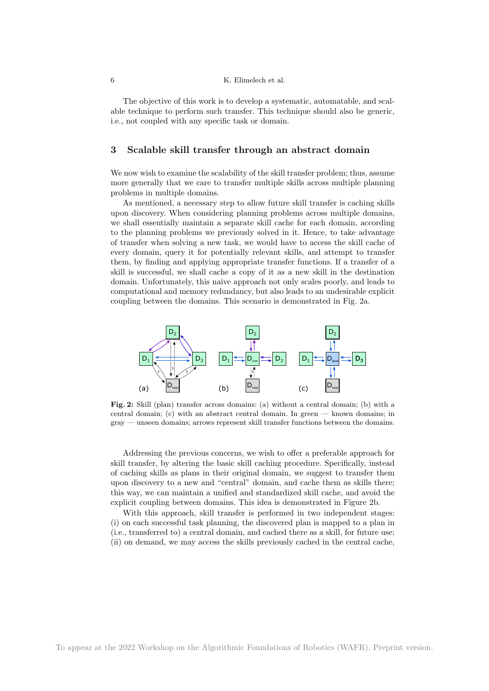The objective of this work is to develop a systematic, automatable, and scalable technique to perform such transfer. This technique should also be generic, i.e., not coupled with any specific task or domain.

## 3 Scalable skill transfer through an abstract domain

We now wish to examine the scalability of the skill transfer problem; thus, assume more generally that we care to transfer multiple skills across multiple planning problems in multiple domains.

As mentioned, a necessary step to allow future skill transfer is caching skills upon discovery. When considering planning problems across multiple domains, we shall essentially maintain a separate skill cache for each domain, according to the planning problems we previously solved in it. Hence, to take advantage of transfer when solving a new task, we would have to access the skill cache of every domain, query it for potentially relevant skills, and attempt to transfer them, by finding and applying appropriate transfer functions. If a transfer of a skill is successful, we shall cache a copy of it as a new skill in the destination domain. Unfortunately, this naive approach not only scales poorly, and leads to computational and memory redundancy, but also leads to an undesirable explicit coupling between the domains. This scenario is demonstrated in Fig. 2a.



Fig. 2: Skill (plan) transfer across domains: (a) without a central domain; (b) with a central domain; (c) with an abstract central domain. In green — known domains; in gray — unseen domains; arrows represent skill transfer functions between the domains.

Addressing the previous concerns, we wish to offer a preferable approach for skill transfer, by altering the basic skill caching procedure. Specifically, instead of caching skills as plans in their original domain, we suggest to transfer them upon discovery to a new and "central" domain, and cache them as skills there; this way, we can maintain a unified and standardized skill cache, and avoid the explicit coupling between domains. This idea is demonstrated in Figure 2b.

With this approach, skill transfer is performed in two independent stages: (i) on each successful task planning, the discovered plan is mapped to a plan in (i.e., transferred to) a central domain, and cached there as a skill, for future use; (ii) on demand, we may access the skills previously cached in the central cache,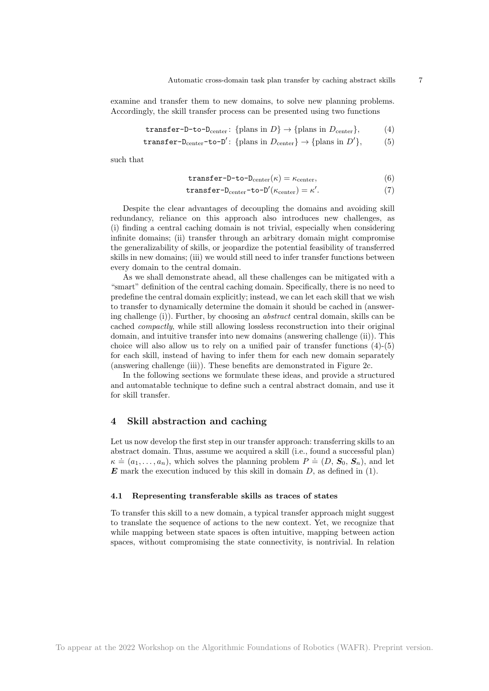examine and transfer them to new domains, to solve new planning problems. Accordingly, the skill transfer process can be presented using two functions

$$
transfer-D-to-Dcenter: {plans in D} \rightarrow {plans in Dcenter}, \t(4)
$$

$$
transfer-D_{center}-to-D': \{plans in D_{center}\} \rightarrow \{plans in D'\},\tag{5}
$$

such that

$$
\text{transfer-D-to-D}_{\text{center}}(\kappa) = \kappa_{\text{center}},\tag{6}
$$

$$
\text{transfer-D}_{\text{center}}\text{-}\text{to-D}'(\kappa_{\text{center}}) = \kappa'.\tag{7}
$$

Despite the clear advantages of decoupling the domains and avoiding skill redundancy, reliance on this approach also introduces new challenges, as (i) finding a central caching domain is not trivial, especially when considering infinite domains; (ii) transfer through an arbitrary domain might compromise the generalizability of skills, or jeopardize the potential feasibility of transferred skills in new domains; (iii) we would still need to infer transfer functions between every domain to the central domain.

As we shall demonstrate ahead, all these challenges can be mitigated with a "smart" definition of the central caching domain. Specifically, there is no need to predefine the central domain explicitly; instead, we can let each skill that we wish to transfer to dynamically determine the domain it should be cached in (answering challenge (i)). Further, by choosing an abstract central domain, skills can be cached compactly, while still allowing lossless reconstruction into their original domain, and intuitive transfer into new domains (answering challenge (ii)). This choice will also allow us to rely on a unified pair of transfer functions (4)-(5) for each skill, instead of having to infer them for each new domain separately (answering challenge (iii)). These benefits are demonstrated in Figure 2c.

In the following sections we formulate these ideas, and provide a structured and automatable technique to define such a central abstract domain, and use it for skill transfer.

## 4 Skill abstraction and caching

Let us now develop the first step in our transfer approach: transferring skills to an abstract domain. Thus, assume we acquired a skill (i.e., found a successful plan)  $\kappa \doteq (a_1, \ldots, a_n)$ , which solves the planning problem  $P \doteq (D, S_0, S_n)$ , and let  $\boldsymbol{E}$  mark the execution induced by this skill in domain  $D$ , as defined in (1).

#### 4.1 Representing transferable skills as traces of states

To transfer this skill to a new domain, a typical transfer approach might suggest to translate the sequence of actions to the new context. Yet, we recognize that while mapping between state spaces is often intuitive, mapping between action spaces, without compromising the state connectivity, is nontrivial. In relation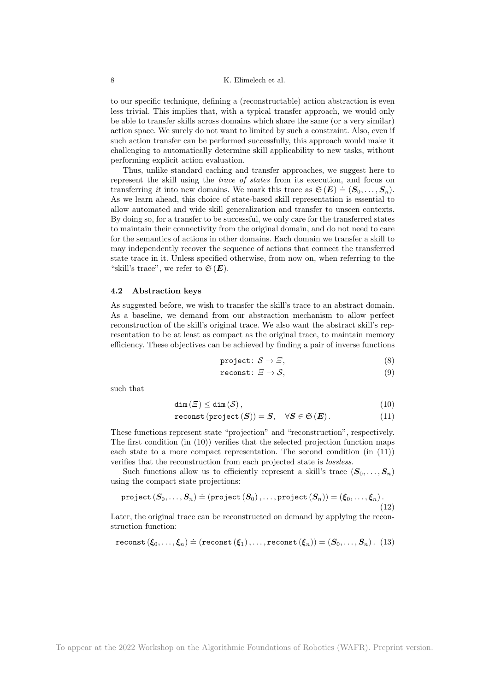to our specific technique, defining a (reconstructable) action abstraction is even less trivial. This implies that, with a typical transfer approach, we would only be able to transfer skills across domains which share the same (or a very similar) action space. We surely do not want to limited by such a constraint. Also, even if such action transfer can be performed successfully, this approach would make it challenging to automatically determine skill applicability to new tasks, without performing explicit action evaluation.

Thus, unlike standard caching and transfer approaches, we suggest here to represent the skill using the trace of states from its execution, and focus on transferring *it* into new domains. We mark this trace as  $\mathfrak{S}(E) \doteq (S_0, \ldots, S_n)$ . As we learn ahead, this choice of state-based skill representation is essential to allow automated and wide skill generalization and transfer to unseen contexts. By doing so, for a transfer to be successful, we only care for the transferred states to maintain their connectivity from the original domain, and do not need to care for the semantics of actions in other domains. Each domain we transfer a skill to may independently recover the sequence of actions that connect the transferred state trace in it. Unless specified otherwise, from now on, when referring to the "skill's trace", we refer to  $\mathfrak{S}(E)$ .

## 4.2 Abstraction keys

As suggested before, we wish to transfer the skill's trace to an abstract domain. As a baseline, we demand from our abstraction mechanism to allow perfect reconstruction of the skill's original trace. We also want the abstract skill's representation to be at least as compact as the original trace, to maintain memory efficiency. These objectives can be achieved by finding a pair of inverse functions

$$
\text{project}: \, \mathcal{S} \to \varXi,\tag{8}
$$

$$
\text{reconst}: \ \varXi \to \mathcal{S}, \tag{9}
$$

such that

$$
\dim(\varXi) \le \dim(\mathcal{S}),\tag{10}
$$

$$
\texttt{reconst}\left(\texttt{project}\left(\bm{S}\right)\right) = \bm{S}, \quad \forall \bm{S} \in \mathfrak{S}\left(\bm{E}\right). \tag{11}
$$

These functions represent state "projection" and "reconstruction", respectively. The first condition (in (10)) verifies that the selected projection function maps each state to a more compact representation. The second condition (in (11)) verifies that the reconstruction from each projected state is lossless.

Such functions allow us to efficiently represent a skill's trace  $(\mathbf{S}_0, \ldots, \mathbf{S}_n)$ using the compact state projections:

$$
\texttt{project}\left(\pmb{S}_0,\ldots,\pmb{S}_n\right) \doteq \left(\texttt{project}\left(\pmb{S}_0\right),\ldots,\texttt{project}\left(\pmb{S}_n\right)\right) = \left(\pmb{\xi}_0,\ldots,\pmb{\xi}_n\right). \tag{12}
$$

Later, the original trace can be reconstructed on demand by applying the reconstruction function:

$$
\texttt{reconst}\left(\pmb{\xi}_0,\ldots,\pmb{\xi}_n\right) \doteq \left(\texttt{reconst}\left(\pmb{\xi}_1\right),\ldots,\texttt{reconst}\left(\pmb{\xi}_n\right)\right) = \left(\pmb{S}_0,\ldots,\pmb{S}_n\right). \tag{13}
$$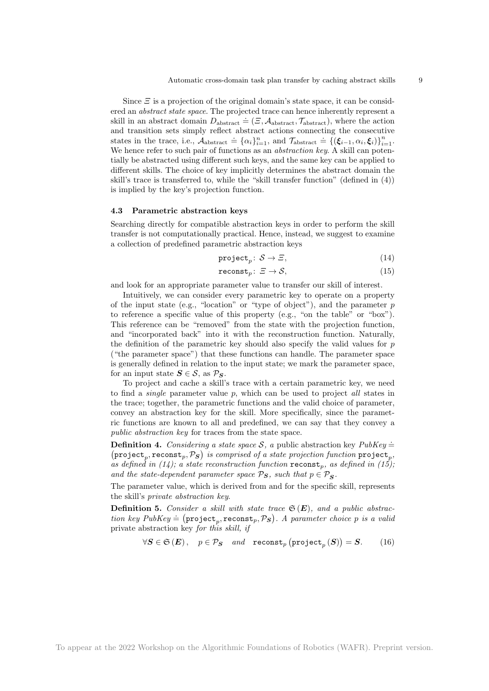Since  $\Xi$  is a projection of the original domain's state space, it can be considered an *abstract state space*. The projected trace can hence inherently represent a skill in an abstract domain  $D_{\text{abstract}} = (\Xi, A_{\text{abstract}}, \tau_{\text{abstract}})$ , where the action and transition sets simply reflect abstract actions connecting the consecutive states in the trace, i.e.,  $A_{\text{abstract}} = {\alpha_i}_{i=1}^n$ , and  $\tau_{\text{abstract}} = {\{\zeta_{i-1}, \alpha_i, \zeta_i\}}_{i=1}^n$ . We hence refer to such pair of functions as an *abstraction key*. A skill can potentially be abstracted using different such keys, and the same key can be applied to different skills. The choice of key implicitly determines the abstract domain the skill's trace is transferred to, while the "skill transfer function" (defined in (4)) is implied by the key's projection function.

#### 4.3 Parametric abstraction keys

Searching directly for compatible abstraction keys in order to perform the skill transfer is not computationally practical. Hence, instead, we suggest to examine a collection of predefined parametric abstraction keys

$$
\text{project}_p: \mathcal{S} \to \Xi,\tag{14}
$$

$$
\text{reconst}_p: \ \varXi \to \mathcal{S},\tag{15}
$$

and look for an appropriate parameter value to transfer our skill of interest.

Intuitively, we can consider every parametric key to operate on a property of the input state (e.g., "location" or "type of object"), and the parameter  $p$ to reference a specific value of this property (e.g., "on the table" or "box"). This reference can be "removed" from the state with the projection function, and "incorporated back" into it with the reconstruction function. Naturally, the definition of the parametric key should also specify the valid values for  $p$ ("the parameter space") that these functions can handle. The parameter space is generally defined in relation to the input state; we mark the parameter space, for an input state  $S \in \mathcal{S}$ , as  $\mathcal{P}_\mathbf{S}$ .

To project and cache a skill's trace with a certain parametric key, we need to find a *single* parameter value  $p$ , which can be used to project *all* states in the trace; together, the parametric functions and the valid choice of parameter, convey an abstraction key for the skill. More specifically, since the parametric functions are known to all and predefined, we can say that they convey a public abstraction key for traces from the state space.

**Definition 4.** Considering a state space S, a public abstraction key  $PubKey =$  $(\texttt{project}_p, \texttt{reconst}_p, \mathcal{P}_S)$  is comprised of a state projection function  $\texttt{project}_p,$ as defined in (14); a state reconstruction function  $\mathbf{reconst}_p$ , as defined in (15); and the state-dependent parameter space  $\mathcal{P}_\mathbf{S}$ , such that  $p \in \mathcal{P}_\mathbf{S}$ .

The parameter value, which is derived from and for the specific skill, represents the skill's private abstraction key.

**Definition 5.** Consider a skill with state trace  $\mathfrak{S}(E)$ , and a public abstrac-**Definition 3.** Constant a state water state  $\mathcal{L}(\mathbf{Z})$ , and a patter choice positive tion key PubKey  $= (\text{project}_p, \text{reconst}_p, \mathcal{P}_S)$ . A parameter choice p is a valid private abstraction key for this skill, if

$$
\forall S \in \mathfrak{S}(E), \quad p \in \mathcal{P}_S \quad and \quad \text{reconst}_p \left( \text{project}_p(S) \right) = S. \tag{16}
$$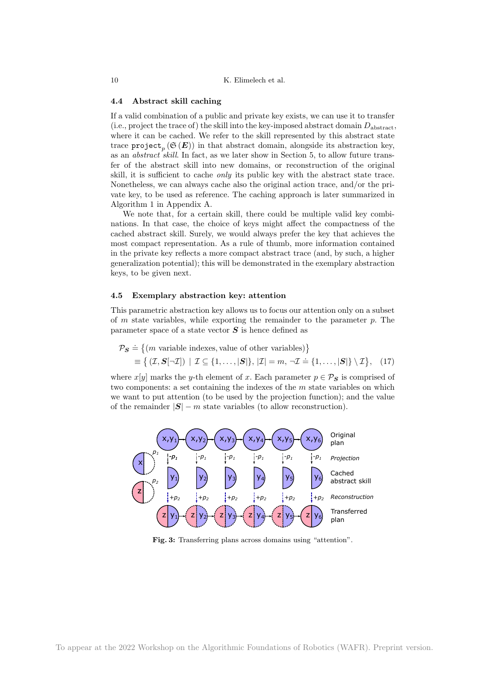#### 4.4 Abstract skill caching

If a valid combination of a public and private key exists, we can use it to transfer (i.e., project the trace of) the skill into the key-imposed abstract domain  $D_{\text{abstract}}$ , where it can be cached. We refer to the skill represented by this abstract state trace  $\texttt{project}_p\left(\mathfrak{S}\left(\bm{E}\right)\right)$  in that abstract domain, alongside its abstraction key, as an *abstract skill*. In fact, as we later show in Section 5, to allow future transfer of the abstract skill into new domains, or reconstruction of the original skill, it is sufficient to cache only its public key with the abstract state trace. Nonetheless, we can always cache also the original action trace, and/or the private key, to be used as reference. The caching approach is later summarized in Algorithm 1 in Appendix A.

We note that, for a certain skill, there could be multiple valid key combinations. In that case, the choice of keys might affect the compactness of the cached abstract skill. Surely, we would always prefer the key that achieves the most compact representation. As a rule of thumb, more information contained in the private key reflects a more compact abstract trace (and, by such, a higher generalization potential); this will be demonstrated in the exemplary abstraction keys, to be given next.

#### 4.5 Exemplary abstraction key: attention

This parametric abstraction key allows us to focus our attention only on a subset of  $m$  state variables, while exporting the remainder to the parameter  $p$ . The parameter space of a state vector  $S$  is hence defined as

$$
\mathcal{P}_{\mathbf{S}} \doteq \{ (m \text{ variable indexes, value of other variables}) \}
$$

$$
\equiv \{ (\mathcal{I}, \mathbf{S}[\neg \mathcal{I}]) \mid \mathcal{I} \subseteq \{1, \dots, |\mathbf{S}|\}, |\mathcal{I}| = m, \neg \mathcal{I} \doteq \{1, \dots, |\mathbf{S}|\} \setminus \mathcal{I} \}, \quad (17)
$$

where  $x[y]$  marks the y-th element of x. Each parameter  $p \in \mathcal{P}_S$  is comprised of two components: a set containing the indexes of the  $m$  state variables on which we want to put attention (to be used by the projection function); and the value of the remainder  $|\mathbf{S}| - m$  state variables (to allow reconstruction).



Fig. 3: Transferring plans across domains using "attention".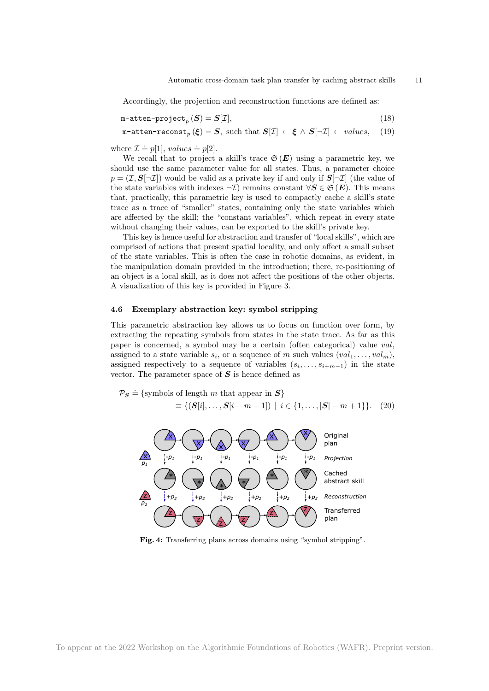Accordingly, the projection and reconstruction functions are defined as:

 $m$ -atten-project $_p(S) = S[\mathcal{I}],$ (18)

m-atten-reconst<sub>p</sub> ( $\xi$ ) = S, such that  $S[\mathcal{I}] \leftarrow \xi \wedge S[\neg \mathcal{I}] \leftarrow values$ , (19)

where  $\mathcal{I} \doteq p[1], \text{values} \doteq p[2].$ 

We recall that to project a skill's trace  $\mathfrak{S}(E)$  using a parametric key, we should use the same parameter value for all states. Thus, a parameter choice  $p = (\mathcal{I}, \mathcal{S}[\neg \mathcal{I}])$  would be valid as a private key if and only if  $\mathcal{S}[\neg \mathcal{I}]$  (the value of the state variables with indexes  $\neg \mathcal{I}$ ) remains constant  $\forall S \in \mathfrak{S}(\mathbf{E})$ . This means that, practically, this parametric key is used to compactly cache a skill's state trace as a trace of "smaller" states, containing only the state variables which are affected by the skill; the "constant variables", which repeat in every state without changing their values, can be exported to the skill's private key.

This key is hence useful for abstraction and transfer of "local skills", which are comprised of actions that present spatial locality, and only affect a small subset of the state variables. This is often the case in robotic domains, as evident, in the manipulation domain provided in the introduction; there, re-positioning of an object is a local skill, as it does not affect the positions of the other objects. A visualization of this key is provided in Figure 3.

#### 4.6 Exemplary abstraction key: symbol stripping

This parametric abstraction key allows us to focus on function over form, by extracting the repeating symbols from states in the state trace. As far as this paper is concerned, a symbol may be a certain (often categorical) value val, assigned to a state variable  $s_i$ , or a sequence of m such values  $(val_1, \ldots, val_m)$ , assigned respectively to a sequence of variables  $(s_i, \ldots, s_{i+m-1})$  in the state vector. The parameter space of  $S$  is hence defined as

$$
\mathcal{P}_{\mathcal{S}} \doteq \{\text{symbols of length } m \text{ that appear in } \mathcal{S}\}\
$$

$$
\equiv \{ (\mathcal{S}[i], \dots, \mathcal{S}[i+m-1]) \mid i \in \{1, \dots, |\mathcal{S}| - m + 1 \}\}. \tag{20}
$$



Fig. 4: Transferring plans across domains using "symbol stripping".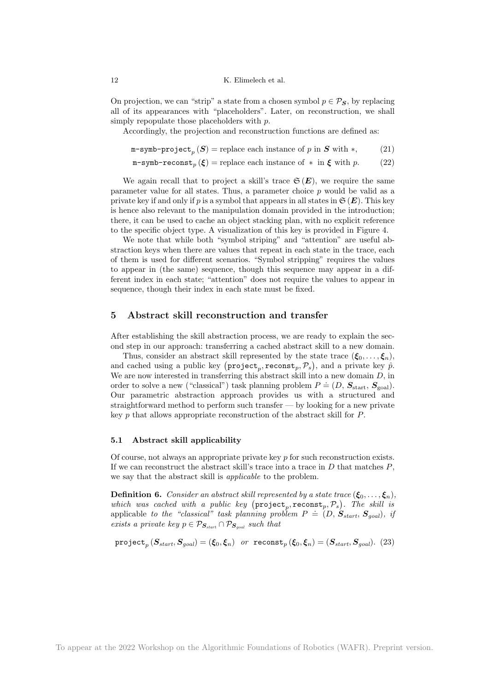On projection, we can "strip" a state from a chosen symbol  $p \in \mathcal{P}_S$ , by replacing all of its appearances with "placeholders". Later, on reconstruction, we shall simply repopulate those placeholders with  $p$ .

Accordingly, the projection and reconstruction functions are defined as:

m-symb-project<sub>p</sub> (S) = replace each instance of p in S with  $*,$  (21)

m-symb-reconst<sub>p</sub> (
$$
\xi
$$
) = replace each instance of \* in  $\xi$  with p. (22)

We again recall that to project a skill's trace  $\mathfrak{S}(E)$ , we require the same parameter value for all states. Thus, a parameter choice p would be valid as a private key if and only if p is a symbol that appears in all states in  $\mathfrak{S}(E)$ . This key is hence also relevant to the manipulation domain provided in the introduction; there, it can be used to cache an object stacking plan, with no explicit reference to the specific object type. A visualization of this key is provided in Figure 4.

We note that while both "symbol striping" and "attention" are useful abstraction keys when there are values that repeat in each state in the trace, each of them is used for different scenarios. "Symbol stripping" requires the values to appear in (the same) sequence, though this sequence may appear in a different index in each state; "attention" does not require the values to appear in sequence, though their index in each state must be fixed.

## 5 Abstract skill reconstruction and transfer

After establishing the skill abstraction process, we are ready to explain the second step in our approach: transferring a cached abstract skill to a new domain.

Thus, consider an abstract skill represented by the state trace  $(\xi_0, \ldots, \xi_n)$ , and cached using a public key  $(\texttt{project}_p, \texttt{reconst}_p, \mathcal{P}_s)$ , and a private key  $\hat{p}$ . We are now interested in transferring this abstract skill into a new domain  $D$ , in order to solve a new ("classical") task planning problem  $P = (D, S<sub>start</sub>, S<sub>goal</sub>)$ . Our parametric abstraction approach provides us with a structured and straightforward method to perform such transfer — by looking for a new private key p that allows appropriate reconstruction of the abstract skill for P.

#### 5.1 Abstract skill applicability

Of course, not always an appropriate private key  $p$  for such reconstruction exists. If we can reconstruct the abstract skill's trace into a trace in  $D$  that matches  $P$ , we say that the abstract skill is *applicable* to the problem.

**Definition 6.** Consider an abstract skill represented by a state trace  $(\xi_0, \ldots, \xi_n)$ , which was cached with a public key  $(\text{project}_p, \text{reconst}_p, \mathcal{P}_s)$ . The skill is applicable to the "classical" task planning problem  $P = (D, S_{start}, S_{goal})$ , if exists a private key  $p \in \mathcal{P}_{\mathbf{S}_{start}} \cap \mathcal{P}_{\mathbf{S}_{goal}}$  such that

$$
\text{project}_p(S_{start}, S_{goal}) = (\xi_0, \xi_n) \text{ or } \text{reconst}_p(\xi_0, \xi_n) = (S_{start}, S_{goal}). \tag{23}
$$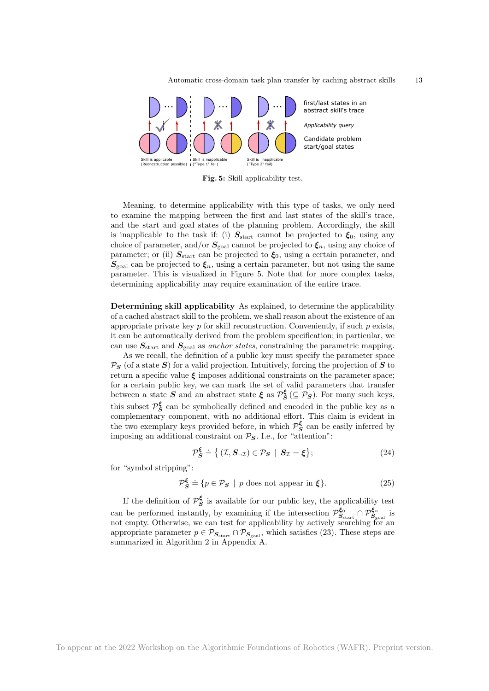

Fig. 5: Skill applicability test.

Meaning, to determine applicability with this type of tasks, we only need to examine the mapping between the first and last states of the skill's trace, and the start and goal states of the planning problem. Accordingly, the skill is inapplicable to the task if: (i)  $S_{\text{start}}$  cannot be projected to  $\xi_0$ , using any choice of parameter, and/or  $S_{\text{goal}}$  cannot be projected to  $\xi_n$ , using any choice of parameter; or (ii)  $S_{\text{start}}$  can be projected to  $\xi_0$ , using a certain parameter, and  $S_{\text{goal}}$  can be projected to  $\xi_n$ , using a certain parameter, but not using the same parameter. This is visualized in Figure 5. Note that for more complex tasks, determining applicability may require examination of the entire trace.

Determining skill applicability As explained, to determine the applicability of a cached abstract skill to the problem, we shall reason about the existence of an appropriate private key  $p$  for skill reconstruction. Conveniently, if such  $p$  exists, it can be automatically derived from the problem specification; in particular, we can use  $S_{\text{start}}$  and  $S_{\text{goal}}$  as anchor states, constraining the parametric mapping.

As we recall, the definition of a public key must specify the parameter space  $\mathcal{P}_S$  (of a state S) for a valid projection. Intuitively, forcing the projection of S to return a specific value  $\xi$  imposes additional constraints on the parameter space; for a certain public key, we can mark the set of valid parameters that transfer between a state  $S$  and an abstract state  $\xi$  as  $\mathcal{P}_S^{\xi}$  ( $\subseteq \mathcal{P}_S$ ). For many such keys, this subset  $\mathcal{P}_{S}^{\xi}$  can be symbolically defined and encoded in the public key as a complementary component, with no additional effort. This claim is evident in the two exemplary keys provided before, in which  $\mathcal{P}_{\mathcal{S}}^{\xi}$  can be easily inferred by imposing an additional constraint on  $P_S$ . I.e., for "attention":

$$
\mathcal{P}_{\mathcal{S}}^{\xi} \doteq \{ (\mathcal{I}, \mathcal{S}_{\neg \mathcal{I}}) \in \mathcal{P}_{\mathcal{S}} \mid \mathcal{S}_{\mathcal{I}} = \xi \};\tag{24}
$$

for "symbol stripping":

$$
\mathcal{P}_{\mathcal{S}}^{\xi} \doteq \{ p \in \mathcal{P}_{\mathcal{S}} \mid p \text{ does not appear in } \xi \}. \tag{25}
$$

If the definition of  $\mathcal{P}_{\mathbf{S}}^{\xi}$  is available for our public key, the applicability test can be performed instantly, by examining if the intersection  $\mathcal{P}_{S_{\text{start}}}^{\xi_0} \cap \mathcal{P}_{S_{\text{goal}}}^{\xi_n}$  is not empty. Otherwise, we can test for applicability by actively searching for an appropriate parameter  $p \in \mathcal{P}_{\mathcal{S}_{start}} \cap \mathcal{P}_{\mathcal{S}_{goal}}$ , which satisfies (23). These steps are summarized in Algorithm 2 in Appendix A.

To appear at the 2022 Workshop on the Algorithmic Foundations of Robotics (WAFR). Preprint version.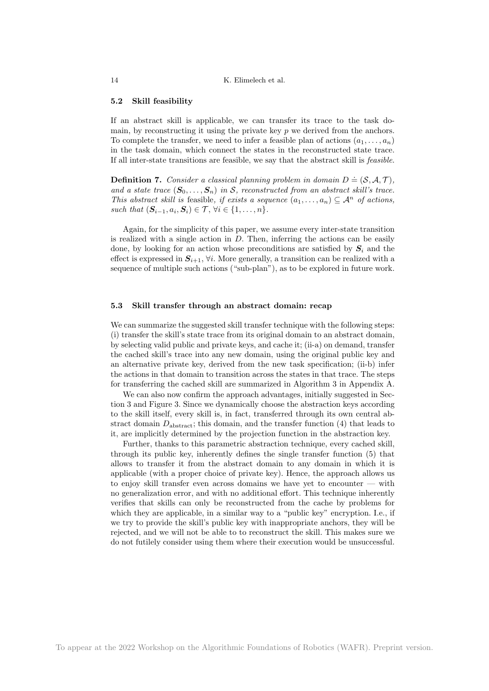#### 5.2 Skill feasibility

If an abstract skill is applicable, we can transfer its trace to the task domain, by reconstructing it using the private key  $p$  we derived from the anchors. To complete the transfer, we need to infer a feasible plan of actions  $(a_1, \ldots, a_n)$ in the task domain, which connect the states in the reconstructed state trace. If all inter-state transitions are feasible, we say that the abstract skill is feasible.

**Definition 7.** Consider a classical planning problem in domain  $D \doteq (\mathcal{S}, \mathcal{A}, \mathcal{T})$ , and a state trace  $(\mathbf{S}_0, \ldots, \mathbf{S}_n)$  in S, reconstructed from an abstract skill's trace. This abstract skill is feasible, if exists a sequence  $(a_1, \ldots, a_n) \subseteq \mathcal{A}^n$  of actions, such that  $(\mathbf{S}_{i-1}, a_i, \mathbf{S}_i) \in \mathcal{T}, \forall i \in \{1, \ldots, n\}.$ 

Again, for the simplicity of this paper, we assume every inter-state transition is realized with a single action in  $D$ . Then, inferring the actions can be easily done, by looking for an action whose preconditions are satisfied by  $S_i$  and the effect is expressed in  $S_{i+1}$ ,  $\forall i$ . More generally, a transition can be realized with a sequence of multiple such actions ("sub-plan"), as to be explored in future work.

#### 5.3 Skill transfer through an abstract domain: recap

We can summarize the suggested skill transfer technique with the following steps: (i) transfer the skill's state trace from its original domain to an abstract domain, by selecting valid public and private keys, and cache it; (ii-a) on demand, transfer the cached skill's trace into any new domain, using the original public key and an alternative private key, derived from the new task specification; (ii-b) infer the actions in that domain to transition across the states in that trace. The steps for transferring the cached skill are summarized in Algorithm 3 in Appendix A.

We can also now confirm the approach advantages, initially suggested in Section 3 and Figure 3. Since we dynamically choose the abstraction keys according to the skill itself, every skill is, in fact, transferred through its own central abstract domain  $D_{\text{abstract}}$ ; this domain, and the transfer function (4) that leads to it, are implicitly determined by the projection function in the abstraction key.

Further, thanks to this parametric abstraction technique, every cached skill, through its public key, inherently defines the single transfer function (5) that allows to transfer it from the abstract domain to any domain in which it is applicable (with a proper choice of private key). Hence, the approach allows us to enjoy skill transfer even across domains we have yet to encounter — with no generalization error, and with no additional effort. This technique inherently verifies that skills can only be reconstructed from the cache by problems for which they are applicable, in a similar way to a "public key" encryption. I.e., if we try to provide the skill's public key with inappropriate anchors, they will be rejected, and we will not be able to to reconstruct the skill. This makes sure we do not futilely consider using them where their execution would be unsuccessful.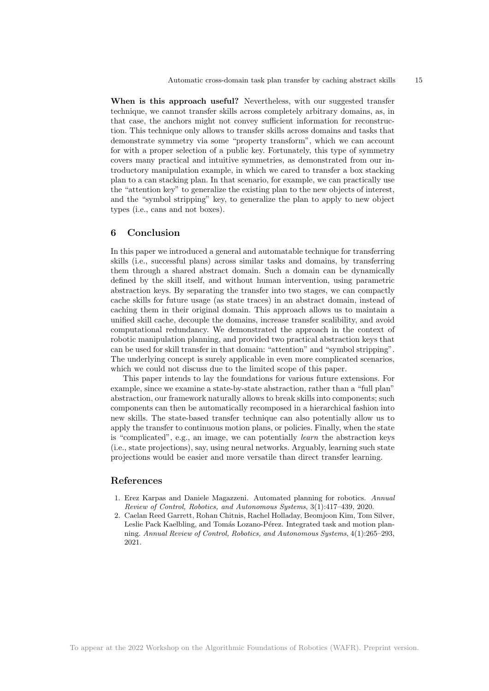When is this approach useful? Nevertheless, with our suggested transfer technique, we cannot transfer skills across completely arbitrary domains, as, in that case, the anchors might not convey sufficient information for reconstruction. This technique only allows to transfer skills across domains and tasks that demonstrate symmetry via some "property transform", which we can account for with a proper selection of a public key. Fortunately, this type of symmetry covers many practical and intuitive symmetries, as demonstrated from our introductory manipulation example, in which we cared to transfer a box stacking plan to a can stacking plan. In that scenario, for example, we can practically use the "attention key" to generalize the existing plan to the new objects of interest, and the "symbol stripping" key, to generalize the plan to apply to new object types (i.e., cans and not boxes).

## 6 Conclusion

In this paper we introduced a general and automatable technique for transferring skills (i.e., successful plans) across similar tasks and domains, by transferring them through a shared abstract domain. Such a domain can be dynamically defined by the skill itself, and without human intervention, using parametric abstraction keys. By separating the transfer into two stages, we can compactly cache skills for future usage (as state traces) in an abstract domain, instead of caching them in their original domain. This approach allows us to maintain a unified skill cache, decouple the domains, increase transfer scalibility, and avoid computational redundancy. We demonstrated the approach in the context of robotic manipulation planning, and provided two practical abstraction keys that can be used for skill transfer in that domain: "attention" and "symbol stripping". The underlying concept is surely applicable in even more complicated scenarios, which we could not discuss due to the limited scope of this paper.

This paper intends to lay the foundations for various future extensions. For example, since we examine a state-by-state abstraction, rather than a "full plan" abstraction, our framework naturally allows to break skills into components; such components can then be automatically recomposed in a hierarchical fashion into new skills. The state-based transfer technique can also potentially allow us to apply the transfer to continuous motion plans, or policies. Finally, when the state is "complicated", e.g., an image, we can potentially learn the abstraction keys (i.e., state projections), say, using neural networks. Arguably, learning such state projections would be easier and more versatile than direct transfer learning.

#### References

- 1. Erez Karpas and Daniele Magazzeni. Automated planning for robotics. Annual Review of Control, Robotics, and Autonomous Systems, 3(1):417–439, 2020.
- 2. Caelan Reed Garrett, Rohan Chitnis, Rachel Holladay, Beomjoon Kim, Tom Silver, Leslie Pack Kaelbling, and Tomás Lozano-Pérez. Integrated task and motion planning. Annual Review of Control, Robotics, and Autonomous Systems, 4(1):265–293, 2021.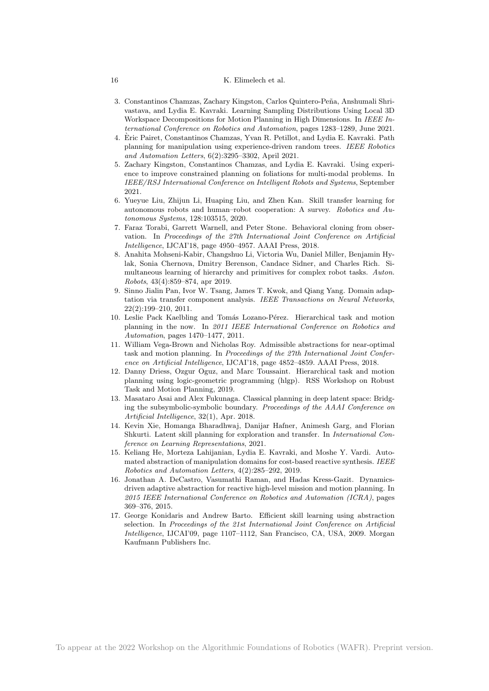- 3. Constantinos Chamzas, Zachary Kingston, Carlos Quintero-Peña, Anshumali Shrivastava, and Lydia E. Kavraki. Learning Sampling Distributions Using Local 3D Workspace Decompositions for Motion Planning in High Dimensions. In IEEE International Conference on Robotics and Automation, pages 1283–1289, June 2021.
- 4. Eric Pairet, Constantinos Chamzas, Yvan R. Petillot, and Lydia E. Kavraki. Path ` planning for manipulation using experience-driven random trees. IEEE Robotics and Automation Letters, 6(2):3295–3302, April 2021.
- 5. Zachary Kingston, Constantinos Chamzas, and Lydia E. Kavraki. Using experience to improve constrained planning on foliations for multi-modal problems. In IEEE/RSJ International Conference on Intelligent Robots and Systems, September 2021.
- 6. Yueyue Liu, Zhijun Li, Huaping Liu, and Zhen Kan. Skill transfer learning for autonomous robots and human–robot cooperation: A survey. Robotics and Autonomous Systems, 128:103515, 2020.
- 7. Faraz Torabi, Garrett Warnell, and Peter Stone. Behavioral cloning from observation. In Proceedings of the 27th International Joint Conference on Artificial Intelligence, IJCAI'18, page 4950–4957. AAAI Press, 2018.
- 8. Anahita Mohseni-Kabir, Changshuo Li, Victoria Wu, Daniel Miller, Benjamin Hylak, Sonia Chernova, Dmitry Berenson, Candace Sidner, and Charles Rich. Simultaneous learning of hierarchy and primitives for complex robot tasks. Auton. Robots, 43(4):859–874, apr 2019.
- 9. Sinno Jialin Pan, Ivor W. Tsang, James T. Kwok, and Qiang Yang. Domain adaptation via transfer component analysis. IEEE Transactions on Neural Networks, 22(2):199–210, 2011.
- 10. Leslie Pack Kaelbling and Tomás Lozano-Pérez. Hierarchical task and motion planning in the now. In 2011 IEEE International Conference on Robotics and Automation, pages 1470–1477, 2011.
- 11. William Vega-Brown and Nicholas Roy. Admissible abstractions for near-optimal task and motion planning. In Proceedings of the 27th International Joint Conference on Artificial Intelligence, IJCAI'18, page 4852–4859. AAAI Press, 2018.
- 12. Danny Driess, Ozgur Oguz, and Marc Toussaint. Hierarchical task and motion planning using logic-geometric programming (hlgp). RSS Workshop on Robust Task and Motion Planning, 2019.
- 13. Masataro Asai and Alex Fukunaga. Classical planning in deep latent space: Bridging the subsymbolic-symbolic boundary. Proceedings of the AAAI Conference on Artificial Intelligence, 32(1), Apr. 2018.
- 14. Kevin Xie, Homanga Bharadhwaj, Danijar Hafner, Animesh Garg, and Florian Shkurti. Latent skill planning for exploration and transfer. In International Conference on Learning Representations, 2021.
- 15. Keliang He, Morteza Lahijanian, Lydia E. Kavraki, and Moshe Y. Vardi. Automated abstraction of manipulation domains for cost-based reactive synthesis. IEEE Robotics and Automation Letters, 4(2):285–292, 2019.
- 16. Jonathan A. DeCastro, Vasumathi Raman, and Hadas Kress-Gazit. Dynamicsdriven adaptive abstraction for reactive high-level mission and motion planning. In 2015 IEEE International Conference on Robotics and Automation (ICRA), pages 369–376, 2015.
- 17. George Konidaris and Andrew Barto. Efficient skill learning using abstraction selection. In Proceedings of the 21st International Joint Conference on Artificial Intelligence, IJCAI'09, page 1107–1112, San Francisco, CA, USA, 2009. Morgan Kaufmann Publishers Inc.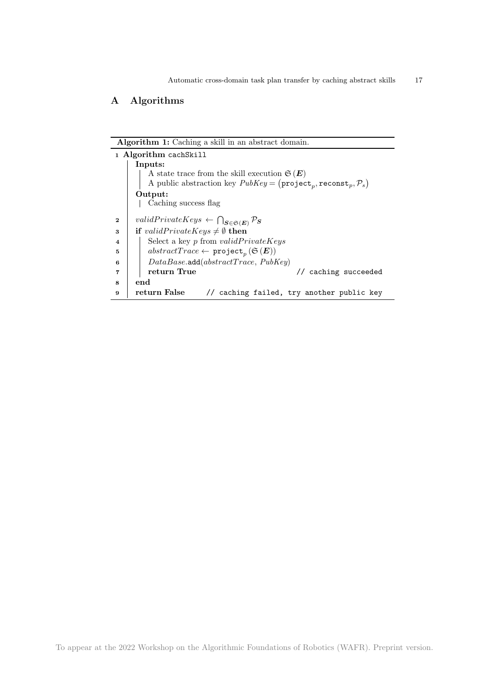# A Algorithms

| <b>Algorithm 1:</b> Caching a skill in an abstract domain. |                                                                                                          |  |
|------------------------------------------------------------|----------------------------------------------------------------------------------------------------------|--|
| 1 Algorithm cachSkill                                      |                                                                                                          |  |
|                                                            | Inputs:                                                                                                  |  |
|                                                            | A state trace from the skill execution $\mathfrak{S}(E)$                                                 |  |
|                                                            | A public abstraction key $PubKey = (project_n, record_n, \mathcal{P}_s)$                                 |  |
|                                                            | Output:                                                                                                  |  |
|                                                            | Caching success flag                                                                                     |  |
| $\bf{2}$                                                   | validPrivateKeys $\leftarrow \bigcap_{\mathbf{S} \in \mathfrak{S}(\mathbf{E})} \mathcal{P}_{\mathbf{S}}$ |  |
| 3                                                          | if <i>validPrivateKeys</i> $\neq \emptyset$ then                                                         |  |
| $\overline{\mathbf{4}}$                                    | Select a key $p$ from $validPrivateKeys$                                                                 |  |
| 5                                                          | $abstractTrace \leftarrow \texttt{project}_p(\mathfrak{S}(E))$                                           |  |
| 6                                                          | DataBase.add(abstructTrace, PubKey)                                                                      |  |
| 7                                                          | return True<br>caching succeeded<br>$\prime\prime$                                                       |  |
| 8                                                          | end                                                                                                      |  |
| 9                                                          | return False<br>// caching failed, try another public key                                                |  |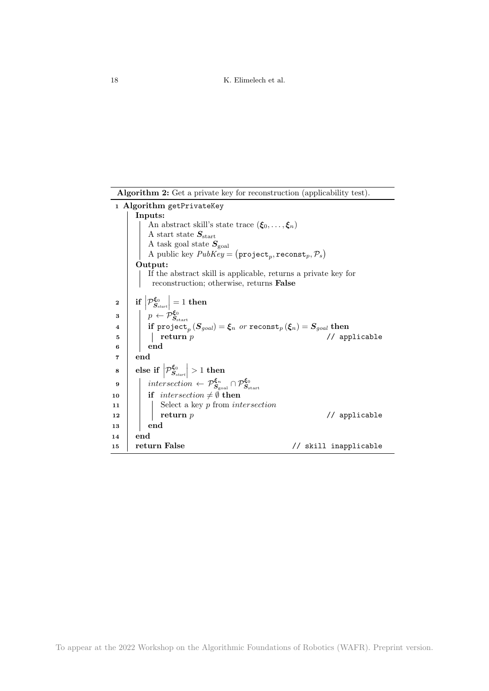Algorithm 2: Get a private key for reconstruction (applicability test).

| 1 Algorithm getPrivateKey |                                                                                                                                                                                                                                                                                   |  |
|---------------------------|-----------------------------------------------------------------------------------------------------------------------------------------------------------------------------------------------------------------------------------------------------------------------------------|--|
|                           | Inputs:                                                                                                                                                                                                                                                                           |  |
|                           | An abstract skill's state trace $(\xi_0, \ldots, \xi_n)$                                                                                                                                                                                                                          |  |
|                           | A start state $S_{\text{start}}$                                                                                                                                                                                                                                                  |  |
|                           | A task goal state $S_{\text{goal}}$                                                                                                                                                                                                                                               |  |
|                           | A public key $PubKey = (project_p, records_t, \mathcal{P}_s)$                                                                                                                                                                                                                     |  |
|                           | Output:                                                                                                                                                                                                                                                                           |  |
|                           | If the abstract skill is applicable, returns a private key for                                                                                                                                                                                                                    |  |
|                           | reconstruction; otherwise, returns False                                                                                                                                                                                                                                          |  |
| $\mathbf{2}$              | if $\left \mathcal{P}_{S_{start}}^{\xi_0}\right =1$ then                                                                                                                                                                                                                          |  |
|                           |                                                                                                                                                                                                                                                                                   |  |
| 3                         | $\begin{array}{ l } & p \leftarrow \dot{\mathcal{P}}^{ \xi_0}_{S_{\text{start}}} \ \text{if project}_p \left( \boldsymbol{S}_{goal} \right) = \boldsymbol{\xi}_n \ \ or \ \ \text{reconst}_p \left( \boldsymbol{\xi}_n \right) = \boldsymbol{S}_{goal} \ \text{then} \end{array}$ |  |
| $\overline{\mathbf{4}}$   |                                                                                                                                                                                                                                                                                   |  |
| 5                         | return $p$<br>// applicable                                                                                                                                                                                                                                                       |  |
| 6                         | end                                                                                                                                                                                                                                                                               |  |
| 7                         | end                                                                                                                                                                                                                                                                               |  |
| 8                         | else if $\left \mathcal{P}_{S_{start}}^{\xi_0}\right  > 1$ then                                                                                                                                                                                                                   |  |
| 9                         | intersection $\leftarrow \mathcal{P}_{\mathcal{S}_{\text{goal}}}^{\xi_n} \cap \mathcal{P}_{\mathcal{S}_{\text{start}}}^{\xi_0}$                                                                                                                                                   |  |
| 10                        | if intersection $\neq \emptyset$ then                                                                                                                                                                                                                                             |  |
| 11                        | Select a key $p$ from intersection                                                                                                                                                                                                                                                |  |
| 12                        | return $p$<br>// applicable                                                                                                                                                                                                                                                       |  |
| 13                        | end                                                                                                                                                                                                                                                                               |  |
| 14                        | end                                                                                                                                                                                                                                                                               |  |
| 15                        | return False<br>// skill inapplicable                                                                                                                                                                                                                                             |  |